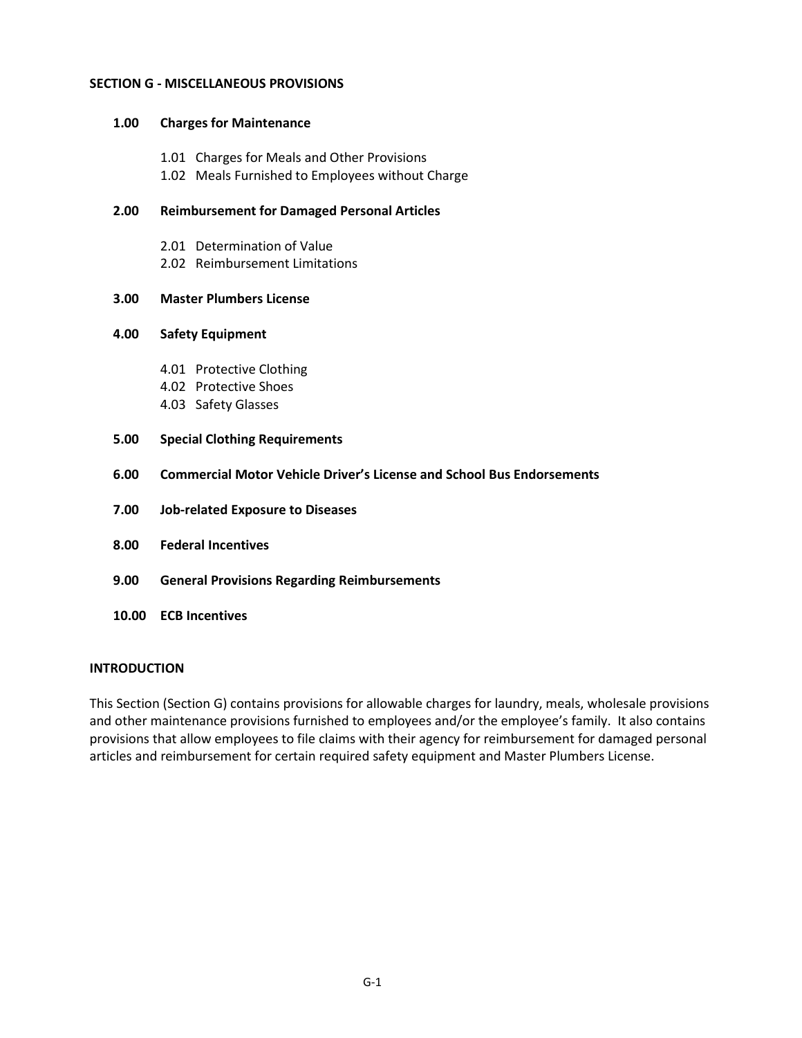### **SECTION G - MISCELLANEOUS PROVISIONS**

## **1.00 Charges for Maintenance**

- 1.01 Charges for Meals and Other Provisions
- 1.02 Meals Furnished to Employees without Charge

## **2.00 Reimbursement for Damaged Personal Articles**

- 2.01 Determination of Value
- 2.02 Reimbursement Limitations

## **3.00 Master Plumbers License**

## **4.00 Safety Equipment**

- 4.01 Protective Clothing
- 4.02 Protective Shoes
- 4.03 Safety Glasses
- **5.00 Special Clothing Requirements**
- **6.00 Commercial Motor Vehicle Driver's License and School Bus Endorsements**
- **7.00 Job-related Exposure to Diseases**
- **8.00 Federal Incentives**
- **9.00 General Provisions Regarding Reimbursements**
- **10.00 ECB Incentives**

## **INTRODUCTION**

This Section (Section G) contains provisions for allowable charges for laundry, meals, wholesale provisions and other maintenance provisions furnished to employees and/or the employee's family. It also contains provisions that allow employees to file claims with their agency for reimbursement for damaged personal articles and reimbursement for certain required safety equipment and Master Plumbers License.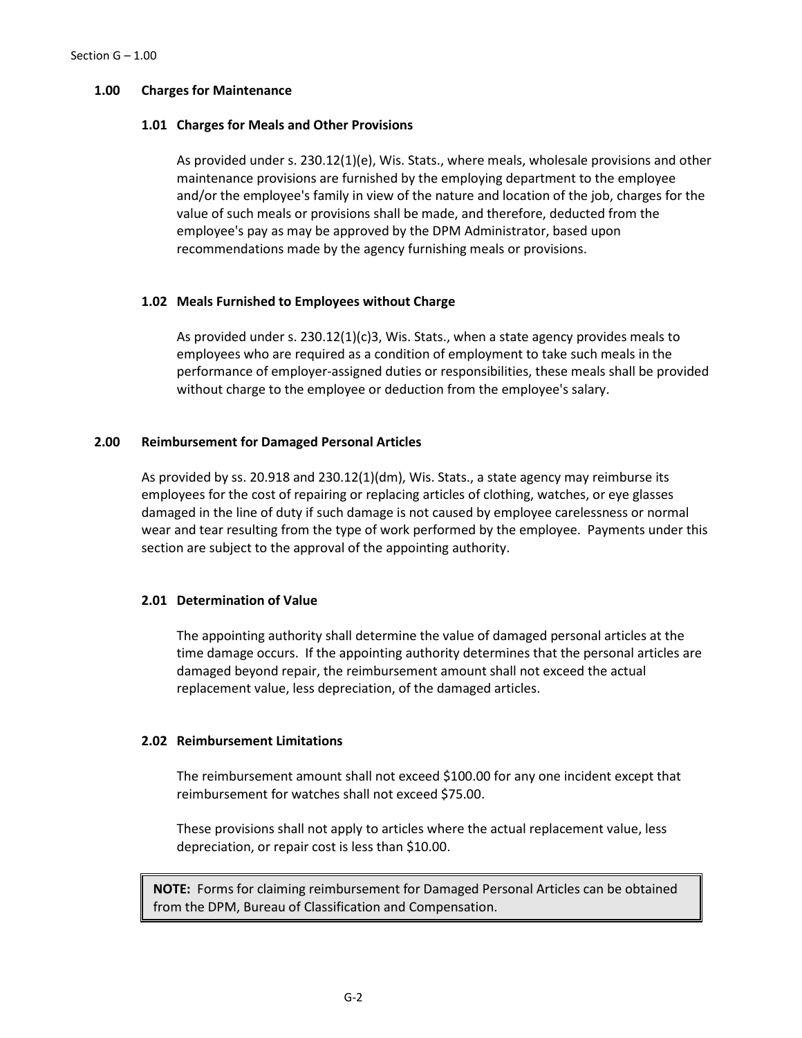## **1.00 Charges for Maintenance**

## **1.01 Charges for Meals and Other Provisions**

As provided under s. 230.12(1)(e), Wis. Stats., where meals, wholesale provisions and other maintenance provisions are furnished by the employing department to the employee and/or the employee's family in view of the nature and location of the job, charges for the value of such meals or provisions shall be made, and therefore, deducted from the employee's pay as may be approved by the DPM Administrator, based upon recommendations made by the agency furnishing meals or provisions.

# **1.02 Meals Furnished to Employees without Charge**

As provided under s. 230.12(1)(c)3, Wis. Stats., when a state agency provides meals to employees who are required as a condition of employment to take such meals in the performance of employer-assigned duties or responsibilities, these meals shall be provided without charge to the employee or deduction from the employee's salary.

# **2.00 Reimbursement for Damaged Personal Articles**

As provided by ss. 20.918 and 230.12(1)(dm), Wis. Stats., a state agency may reimburse its employees for the cost of repairing or replacing articles of clothing, watches, or eye glasses damaged in the line of duty if such damage is not caused by employee carelessness or normal wear and tear resulting from the type of work performed by the employee. Payments under this section are subject to the approval of the appointing authority.

## **2.01 Determination of Value**

The appointing authority shall determine the value of damaged personal articles at the time damage occurs. If the appointing authority determines that the personal articles are damaged beyond repair, the reimbursement amount shall not exceed the actual replacement value, less depreciation, of the damaged articles.

## **2.02 Reimbursement Limitations**

The reimbursement amount shall not exceed \$100.00 for any one incident except that reimbursement for watches shall not exceed \$75.00.

These provisions shall not apply to articles where the actual replacement value, less depreciation, or repair cost is less than \$10.00.

**NOTE:** Forms for claiming reimbursement for Damaged Personal Articles can be obtained from the DPM, Bureau of Classification and Compensation.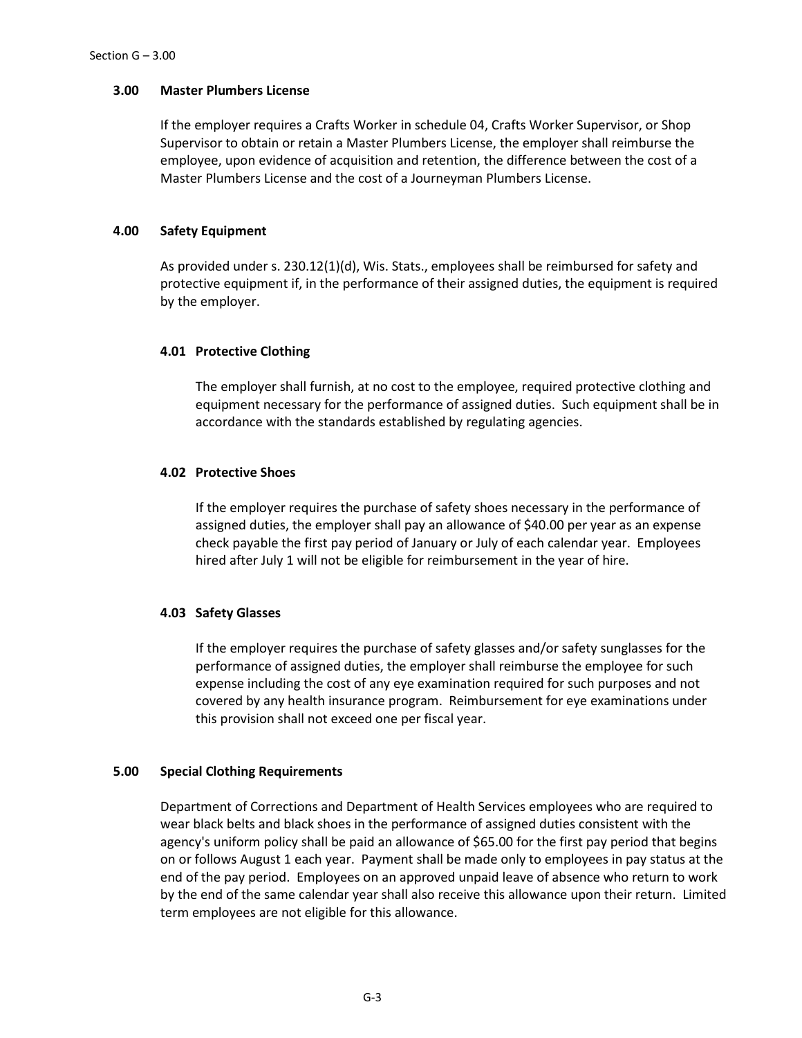#### **3.00 Master Plumbers License**

If the employer requires a Crafts Worker in schedule 04, Crafts Worker Supervisor, or Shop Supervisor to obtain or retain a Master Plumbers License, the employer shall reimburse the employee, upon evidence of acquisition and retention, the difference between the cost of a Master Plumbers License and the cost of a Journeyman Plumbers License.

## **4.00 Safety Equipment**

As provided under s. 230.12(1)(d), Wis. Stats., employees shall be reimbursed for safety and protective equipment if, in the performance of their assigned duties, the equipment is required by the employer.

# **4.01 Protective Clothing**

The employer shall furnish, at no cost to the employee, required protective clothing and equipment necessary for the performance of assigned duties. Such equipment shall be in accordance with the standards established by regulating agencies.

# **4.02 Protective Shoes**

If the employer requires the purchase of safety shoes necessary in the performance of assigned duties, the employer shall pay an allowance of \$40.00 per year as an expense check payable the first pay period of January or July of each calendar year. Employees hired after July 1 will not be eligible for reimbursement in the year of hire.

## **4.03 Safety Glasses**

If the employer requires the purchase of safety glasses and/or safety sunglasses for the performance of assigned duties, the employer shall reimburse the employee for such expense including the cost of any eye examination required for such purposes and not covered by any health insurance program. Reimbursement for eye examinations under this provision shall not exceed one per fiscal year.

## **5.00 Special Clothing Requirements**

Department of Corrections and Department of Health Services employees who are required to wear black belts and black shoes in the performance of assigned duties consistent with the agency's uniform policy shall be paid an allowance of \$65.00 for the first pay period that begins on or follows August 1 each year. Payment shall be made only to employees in pay status at the end of the pay period. Employees on an approved unpaid leave of absence who return to work by the end of the same calendar year shall also receive this allowance upon their return. Limited term employees are not eligible for this allowance.